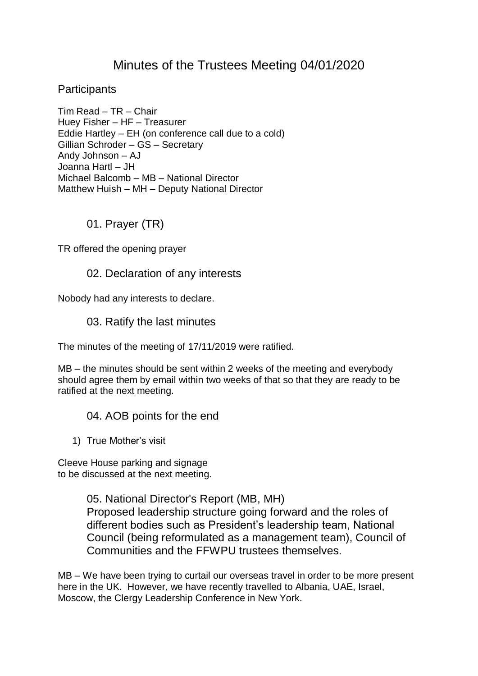# Minutes of the Trustees Meeting 04/01/2020

**Participants** 

Tim Read – TR – Chair Huey Fisher – HF – Treasurer Eddie Hartley – EH (on conference call due to a cold) Gillian Schroder – GS – Secretary Andy Johnson – AJ Joanna Hartl – JH Michael Balcomb – MB – National Director Matthew Huish – MH – Deputy National Director

01. Prayer (TR)

TR offered the opening prayer

### 02. Declaration of any interests

Nobody had any interests to declare.

03. Ratify the last minutes

The minutes of the meeting of 17/11/2019 were ratified.

MB – the minutes should be sent within 2 weeks of the meeting and everybody should agree them by email within two weeks of that so that they are ready to be ratified at the next meeting.

### 04. AOB points for the end

1) True Mother's visit

Cleeve House parking and signage to be discussed at the next meeting.

> 05. National Director's Report (MB, MH) Proposed leadership structure going forward and the roles of different bodies such as President's leadership team, National Council (being reformulated as a management team), Council of Communities and the FFWPU trustees themselves.

MB – We have been trying to curtail our overseas travel in order to be more present here in the UK. However, we have recently travelled to Albania, UAE, Israel, Moscow, the Clergy Leadership Conference in New York.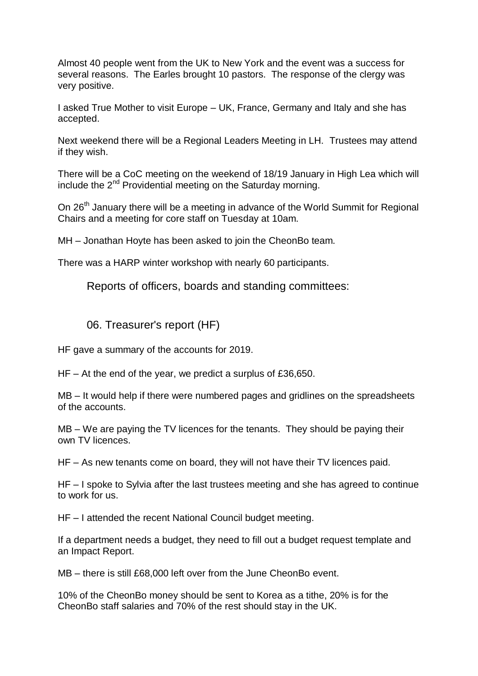Almost 40 people went from the UK to New York and the event was a success for several reasons. The Earles brought 10 pastors. The response of the clergy was very positive.

I asked True Mother to visit Europe – UK, France, Germany and Italy and she has accepted.

Next weekend there will be a Regional Leaders Meeting in LH. Trustees may attend if they wish.

There will be a CoC meeting on the weekend of 18/19 January in High Lea which will include the 2<sup>nd</sup> Providential meeting on the Saturday morning.

On 26<sup>th</sup> January there will be a meeting in advance of the World Summit for Regional Chairs and a meeting for core staff on Tuesday at 10am.

MH – Jonathan Hoyte has been asked to join the CheonBo team.

There was a HARP winter workshop with nearly 60 participants.

Reports of officers, boards and standing committees:

### 06. Treasurer's report (HF)

HF gave a summary of the accounts for 2019.

HF – At the end of the year, we predict a surplus of £36,650.

MB – It would help if there were numbered pages and gridlines on the spreadsheets of the accounts.

MB – We are paying the TV licences for the tenants. They should be paying their own TV licences.

HF – As new tenants come on board, they will not have their TV licences paid.

HF – I spoke to Sylvia after the last trustees meeting and she has agreed to continue to work for us.

HF – I attended the recent National Council budget meeting.

If a department needs a budget, they need to fill out a budget request template and an Impact Report.

MB – there is still £68,000 left over from the June CheonBo event.

10% of the CheonBo money should be sent to Korea as a tithe, 20% is for the CheonBo staff salaries and 70% of the rest should stay in the UK.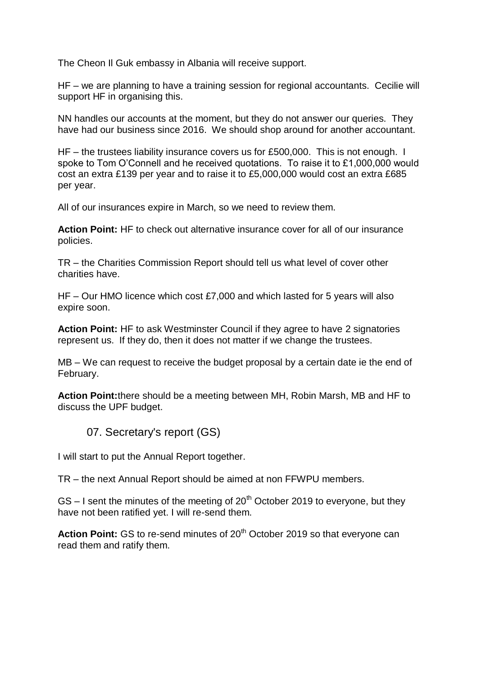The Cheon Il Guk embassy in Albania will receive support.

HF – we are planning to have a training session for regional accountants. Cecilie will support HF in organising this.

NN handles our accounts at the moment, but they do not answer our queries. They have had our business since 2016. We should shop around for another accountant.

HF – the trustees liability insurance covers us for £500,000. This is not enough. I spoke to Tom O'Connell and he received quotations. To raise it to £1,000,000 would cost an extra £139 per year and to raise it to £5,000,000 would cost an extra £685 per year.

All of our insurances expire in March, so we need to review them.

**Action Point:** HF to check out alternative insurance cover for all of our insurance policies.

TR – the Charities Commission Report should tell us what level of cover other charities have.

HF – Our HMO licence which cost £7,000 and which lasted for 5 years will also expire soon.

**Action Point:** HF to ask Westminster Council if they agree to have 2 signatories represent us. If they do, then it does not matter if we change the trustees.

MB – We can request to receive the budget proposal by a certain date ie the end of February.

**Action Point:**there should be a meeting between MH, Robin Marsh, MB and HF to discuss the UPF budget.

### 07. Secretary's report (GS)

I will start to put the Annual Report together.

TR – the next Annual Report should be aimed at non FFWPU members.

 $GS - I$  sent the minutes of the meeting of  $20<sup>th</sup>$  October 2019 to everyone, but they have not been ratified yet. I will re-send them.

Action Point: GS to re-send minutes of 20<sup>th</sup> October 2019 so that everyone can read them and ratify them.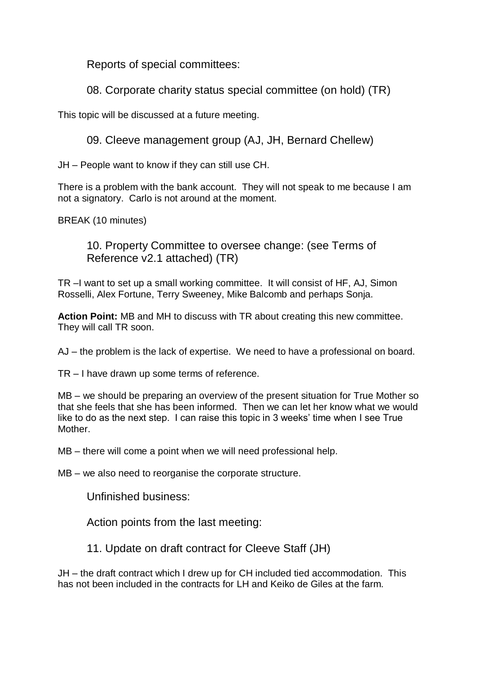Reports of special committees:

08. Corporate charity status special committee (on hold) (TR)

This topic will be discussed at a future meeting.

09. Cleeve management group (AJ, JH, Bernard Chellew)

JH – People want to know if they can still use CH.

There is a problem with the bank account. They will not speak to me because I am not a signatory. Carlo is not around at the moment.

BREAK (10 minutes)

10. Property Committee to oversee change: (see Terms of Reference v2.1 attached) (TR)

TR –I want to set up a small working committee. It will consist of HF, AJ, Simon Rosselli, Alex Fortune, Terry Sweeney, Mike Balcomb and perhaps Sonja.

**Action Point:** MB and MH to discuss with TR about creating this new committee. They will call TR soon.

AJ – the problem is the lack of expertise. We need to have a professional on board.

TR – I have drawn up some terms of reference.

MB – we should be preparing an overview of the present situation for True Mother so that she feels that she has been informed. Then we can let her know what we would like to do as the next step. I can raise this topic in 3 weeks' time when I see True **Mother** 

MB – there will come a point when we will need professional help.

MB – we also need to reorganise the corporate structure.

Unfinished business:

Action points from the last meeting:

11. Update on draft contract for Cleeve Staff (JH)

JH – the draft contract which I drew up for CH included tied accommodation. This has not been included in the contracts for LH and Keiko de Giles at the farm.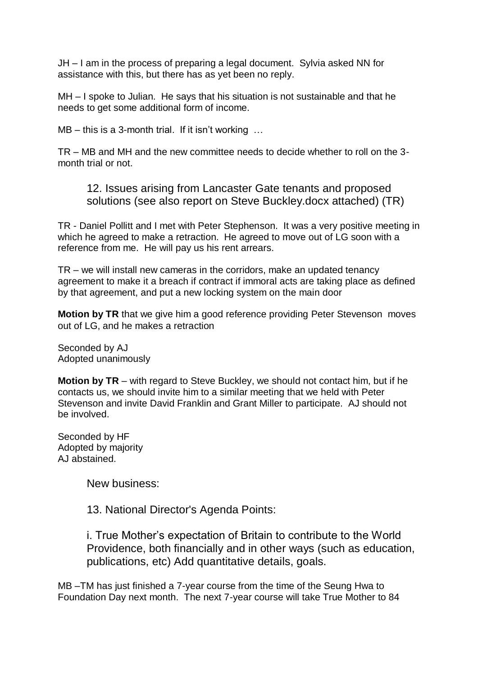JH – I am in the process of preparing a legal document. Sylvia asked NN for assistance with this, but there has as yet been no reply.

MH – I spoke to Julian. He says that his situation is not sustainable and that he needs to get some additional form of income.

MB – this is a 3-month trial. If it isn't working ...

TR – MB and MH and the new committee needs to decide whether to roll on the 3 month trial or not.

12. Issues arising from Lancaster Gate tenants and proposed solutions (see also report on Steve Buckley.docx attached) (TR)

TR - Daniel Pollitt and I met with Peter Stephenson. It was a very positive meeting in which he agreed to make a retraction. He agreed to move out of LG soon with a reference from me. He will pay us his rent arrears.

TR – we will install new cameras in the corridors, make an updated tenancy agreement to make it a breach if contract if immoral acts are taking place as defined by that agreement, and put a new locking system on the main door

**Motion by TR** that we give him a good reference providing Peter Stevenson moves out of LG, and he makes a retraction

Seconded by AJ Adopted unanimously

**Motion by TR** – with regard to Steve Buckley, we should not contact him, but if he contacts us, we should invite him to a similar meeting that we held with Peter Stevenson and invite David Franklin and Grant Miller to participate. AJ should not be involved.

Seconded by HF Adopted by majority AJ abstained.

New business:

13. National Director's Agenda Points:

i. True Mother's expectation of Britain to contribute to the World Providence, both financially and in other ways (such as education, publications, etc) Add quantitative details, goals.

MB –TM has just finished a 7-year course from the time of the Seung Hwa to Foundation Day next month. The next 7-year course will take True Mother to 84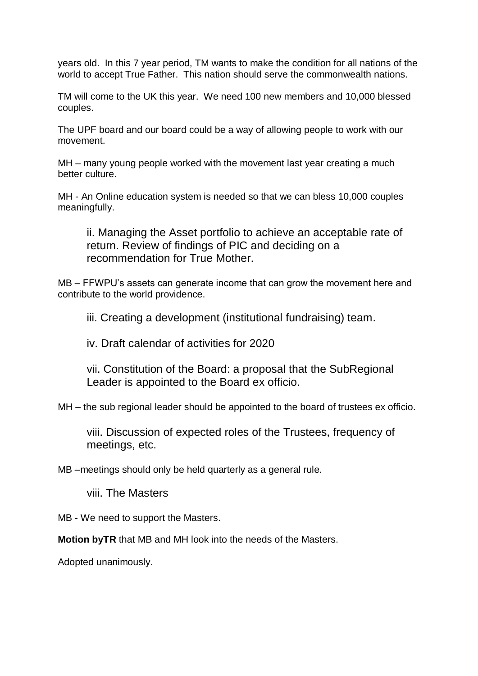years old. In this 7 year period, TM wants to make the condition for all nations of the world to accept True Father. This nation should serve the commonwealth nations.

TM will come to the UK this year. We need 100 new members and 10,000 blessed couples.

The UPF board and our board could be a way of allowing people to work with our movement.

MH – many young people worked with the movement last year creating a much better culture.

MH - An Online education system is needed so that we can bless 10,000 couples meaningfully.

ii. Managing the Asset portfolio to achieve an acceptable rate of return. Review of findings of PIC and deciding on a recommendation for True Mother.

MB – FFWPU's assets can generate income that can grow the movement here and contribute to the world providence.

iii. Creating a development (institutional fundraising) team.

iv. Draft calendar of activities for 2020

vii. Constitution of the Board: a proposal that the SubRegional Leader is appointed to the Board ex officio.

MH – the sub regional leader should be appointed to the board of trustees ex officio.

viii. Discussion of expected roles of the Trustees, frequency of meetings, etc.

MB –meetings should only be held quarterly as a general rule.

viii. The Masters

MB - We need to support the Masters.

**Motion byTR** that MB and MH look into the needs of the Masters.

Adopted unanimously.